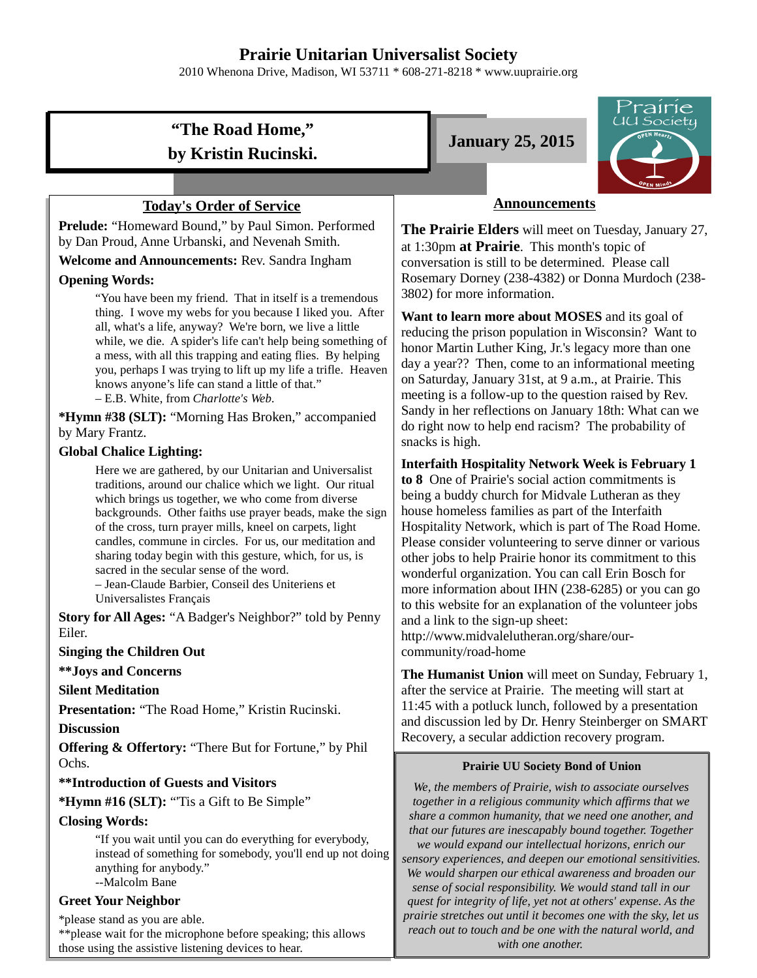# **Prairie Unitarian Universalist Society**

2010 Whenona Drive, Madison, WI 53711 \* 608-271-8218 \* www.uuprairie.org

# **"The Road Home," by Kristin Rucinski.**

#### **Today's Order of Service**

**Prelude:** "Homeward Bound," by Paul Simon. Performed by Dan Proud, Anne Urbanski, and Nevenah Smith.

**Welcome and Announcements:** Rev. Sandra Ingham

#### **Opening Words:**

"You have been my friend. That in itself is a tremendous thing. I wove my webs for you because I liked you. After all, what's a life, anyway? We're born, we live a little while, we die. A spider's life can't help being something of a mess, with all this trapping and eating flies. By helping you, perhaps I was trying to lift up my life a trifle. Heaven knows anyone's life can stand a little of that." – E.B. White, from *Charlotte's Web.*

**\*Hymn #38 (SLT):** "Morning Has Broken," accompanied by Mary Frantz.

#### **Global Chalice Lighting:**

Here we are gathered, by our Unitarian and Universalist traditions, around our chalice which we light. Our ritual which brings us together, we who come from diverse backgrounds. Other faiths use prayer beads, make the sign of the cross, turn prayer mills, kneel on carpets, light candles, commune in circles. For us, our meditation and sharing today begin with this gesture, which, for us, is sacred in the secular sense of the word.

– Jean-Claude Barbier, Conseil des Uniteriens et Universalistes Français

**Story for All Ages:** "A Badger's Neighbor?" told by Penny Eiler.

#### **Singing the Children Out**

**\*\*Joys and Concerns**

**Silent Meditation**

**Presentation:** "The Road Home," Kristin Rucinski.

**Discussion**

**Offering & Offertory:** "There But for Fortune," by Phil Ochs.

**\*\*Introduction of Guests and Visitors**

**\*Hymn #16 (SLT):** "'Tis a Gift to Be Simple"

#### **Closing Words:**

"If you wait until you can do everything for everybody, instead of something for somebody, you'll end up not doing anything for anybody." --Malcolm Bane

#### **Greet Your Neighbor**

\*please stand as you are able. \*\*please wait for the microphone before speaking; this allows those using the assistive listening devices to hear.





### **Announcements**

**The Prairie Elders** will meet on Tuesday, January 27, at 1:30pm **at Prairie**. This month's topic of conversation is still to be determined. Please call Rosemary Dorney (238-4382) or Donna Murdoch (238- 3802) for more information.

**Want to learn more about MOSES** and its goal of reducing the prison population in Wisconsin? Want to honor Martin Luther King, Jr.'s legacy more than one day a year?? Then, come to an informational meeting on Saturday, January 31st, at 9 a.m., at Prairie. This meeting is a follow-up to the question raised by Rev. Sandy in her reflections on January 18th: What can we do right now to help end racism? The probability of snacks is high.

#### **Interfaith Hospitality Network Week is February 1**

**to 8** One of Prairie's social action commitments is being a buddy church for Midvale Lutheran as they house homeless families as part of the Interfaith Hospitality Network, which is part of The Road Home. Please consider volunteering to serve dinner or various other jobs to help Prairie honor its commitment to this wonderful organization. You can call Erin Bosch for more information about IHN (238-6285) or you can go to this website for an explanation of the volunteer jobs and a link to the sign-up sheet: http://www.midvalelutheran.org/share/our-

community/road-home

**The Humanist Union** will meet on Sunday, February 1, after the service at Prairie. The meeting will start at 11:45 with a potluck lunch, followed by a presentation and discussion led by Dr. Henry Steinberger on SMART Recovery, a secular addiction recovery program.

#### **Prairie UU Society Bond of Union**

*We, the members of Prairie, wish to associate ourselves together in a religious community which affirms that we share a common humanity, that we need one another, and that our futures are inescapably bound together. Together we would expand our intellectual horizons, enrich our sensory experiences, and deepen our emotional sensitivities. We would sharpen our ethical awareness and broaden our sense of social responsibility. We would stand tall in our quest for integrity of life, yet not at others' expense. As the prairie stretches out until it becomes one with the sky, let us reach out to touch and be one with the natural world, and with one another.*